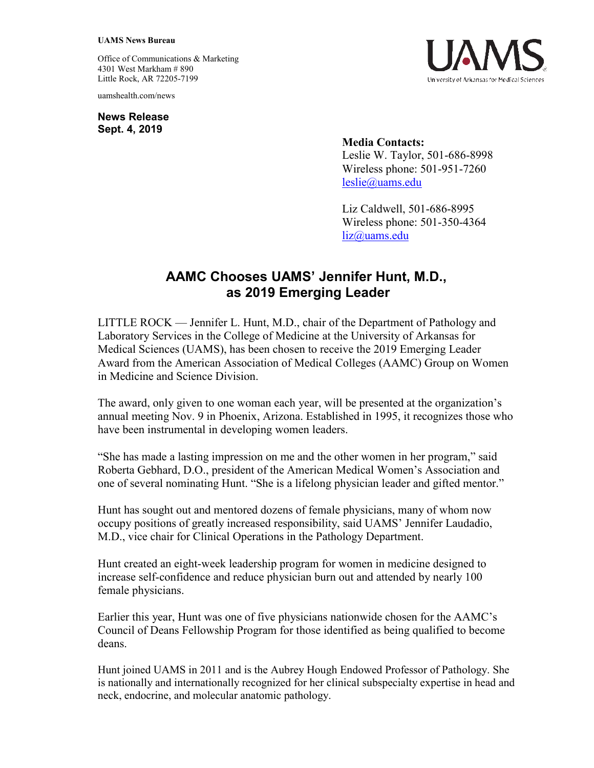## **UAMS News Bureau**

Office of Communications & Marketing 4301 West Markham # 890 Little Rock, AR 72205-7199

uamshealth.com/news

**News Release Sept. 4, 2019**



**Media Contacts:** Leslie W. Taylor, 501-686-8998 Wireless phone: 501-951-7260 [leslie@uams.edu](mailto:leslie@uams.edu)

Liz Caldwell, 501-686-8995 Wireless phone: 501-350-4364 [liz@uams.edu](mailto:liz@uams.edu)

## **AAMC Chooses UAMS' Jennifer Hunt, M.D., as 2019 Emerging Leader**

LITTLE ROCK — Jennifer L. Hunt, M.D., chair of the Department of Pathology and Laboratory Services in the College of Medicine at the University of Arkansas for Medical Sciences (UAMS), has been chosen to receive the 2019 Emerging Leader Award from the American Association of Medical Colleges (AAMC) Group on Women in Medicine and Science Division.

The award, only given to one woman each year, will be presented at the organization's annual meeting Nov. 9 in Phoenix, Arizona. Established in 1995, it recognizes those who have been instrumental in developing women leaders.

"She has made a lasting impression on me and the other women in her program," said Roberta Gebhard, D.O., president of the American Medical Women's Association and one of several nominating Hunt. "She is a lifelong physician leader and gifted mentor."

Hunt has sought out and mentored dozens of female physicians, many of whom now occupy positions of greatly increased responsibility, said UAMS' Jennifer Laudadio, M.D., vice chair for Clinical Operations in the Pathology Department.

Hunt created an eight-week leadership program for women in medicine designed to increase self-confidence and reduce physician burn out and attended by nearly 100 female physicians.

Earlier this year, Hunt was one of five physicians nationwide chosen for the AAMC's Council of Deans Fellowship Program for those identified as being qualified to become deans.

Hunt joined UAMS in 2011 and is the Aubrey Hough Endowed Professor of Pathology. She is nationally and internationally recognized for her clinical subspecialty expertise in head and neck, endocrine, and molecular anatomic pathology.